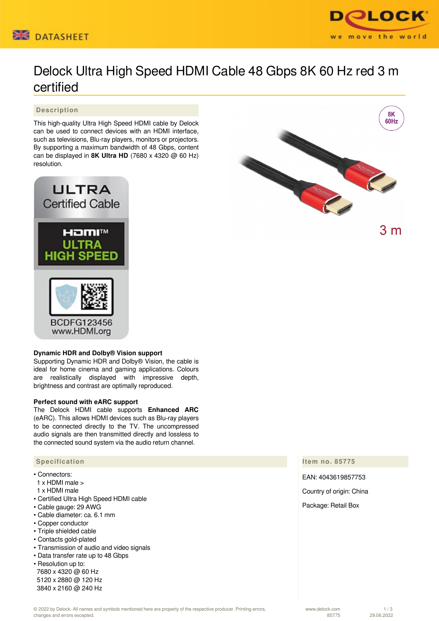



# Delock Ultra High Speed HDMI Cable 48 Gbps 8K 60 Hz red 3 m certified

## **Description**

This high-quality Ultra High Speed HDMI cable by Delock can be used to connect devices with an HDMI interface, such as televisions, Blu-ray players, monitors or projectors. By supporting a maximum bandwidth of 48 Gbps, content can be displayed in **8K Ultra HD** (7680 x 4320 @ 60 Hz) resolution.



### **Dynamic HDR and Dolby® Vision support**

Supporting Dynamic HDR and Dolby® Vision, the cable is ideal for home cinema and gaming applications. Colours are realistically displayed with impressive depth, brightness and contrast are optimally reproduced.

### **Perfect sound with eARC support**

The Delock HDMI cable supports **Enhanced ARC** (eARC). This allows HDMI devices such as Blu-ray players to be connected directly to the TV. The uncompressed audio signals are then transmitted directly and lossless to the connected sound system via the audio return channel.

### **Specification**

- Connectors:
- 1 x HDMI male >
- 1 x HDMI male
- Certified Ultra High Speed HDMI cable
- Cable gauge: 29 AWG
- Cable diameter: ca. 6.1 mm
- Copper conductor
- Triple shielded cable
- Contacts gold-plated
- Transmission of audio and video signals
- Data transfer rate up to 48 Gbps
- Resolution up to: 7680 x 4320 @ 60 Hz 5120 x 2880 @ 120 Hz 3840 x 2160 @ 240 Hz



**Item no. 85775**

EAN: 4043619857753

Country of origin: China

Package: Retail Box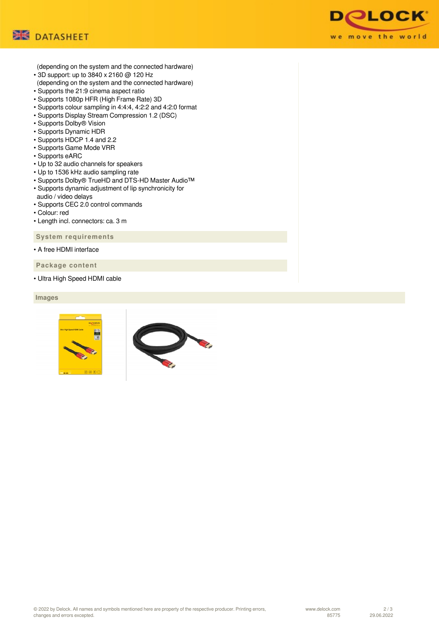



(depending on the system and the connected hardware)

- 3D support: up to 3840 x 2160 @ 120 Hz (depending on the system and the connected hardware)
- Supports the 21:9 cinema aspect ratio
- Supports 1080p HFR (High Frame Rate) 3D
- Supports colour sampling in 4:4:4, 4:2:2 and 4:2:0 format
- Supports Display Stream Compression 1.2 (DSC)
- Supports Dolby® Vision
- Supports Dynamic HDR
- Supports HDCP 1.4 and 2.2
- Supports Game Mode VRR
- Supports eARC
- Up to 32 audio channels for speakers
- Up to 1536 kHz audio sampling rate
- Supports Dolby® TrueHD and DTS-HD Master Audio™
- Supports dynamic adjustment of lip synchronicity for
- audio / video delays • Supports CEC 2.0 control commands
- Colour: red
- Length incl. connectors: ca. 3 m

 **System requirements**

• A free HDMI interface

 **Package content**

• Ultra High Speed HDMI cable

 **Images**